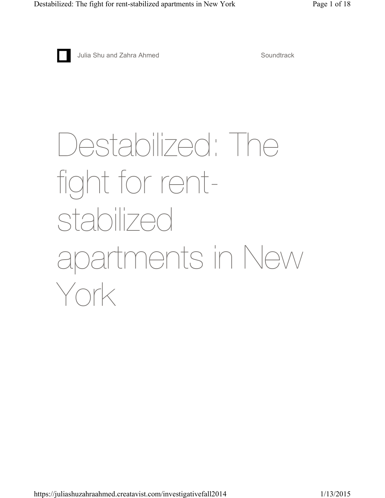

Julia Shu and Zahra Ahmed Soundtrack

# Destabilized: The fight for rentstabilized apartments in New York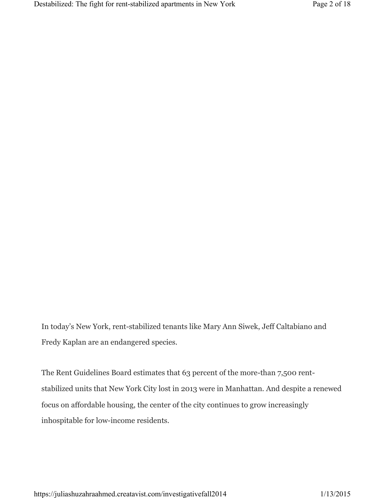In today's New York, rent-stabilized tenants like Mary Ann Siwek, Jeff Caltabiano and Fredy Kaplan are an endangered species.

The Rent Guidelines Board estimates that 63 percent of the more-than 7,500 rentstabilized units that New York City lost in 2013 were in Manhattan. And despite a renewed focus on affordable housing, the center of the city continues to grow increasingly inhospitable for low-income residents.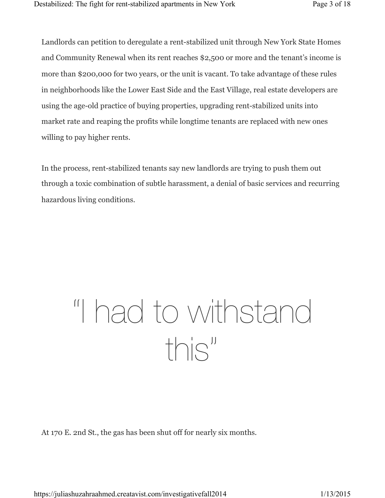Landlords can petition to deregulate a rent-stabilized unit through New York State Homes and Community Renewal when its rent reaches \$2,500 or more and the tenant's income is more than \$200,000 for two years, or the unit is vacant. To take advantage of these rules in neighborhoods like the Lower East Side and the East Village, real estate developers are using the age-old practice of buying properties, upgrading rent-stabilized units into market rate and reaping the profits while longtime tenants are replaced with new ones willing to pay higher rents.

In the process, rent-stabilized tenants say new landlords are trying to push them out through a toxic combination of subtle harassment, a denial of basic services and recurring hazardous living conditions.

## "I had to withstand this"

At 170 E. 2nd St., the gas has been shut off for nearly six months.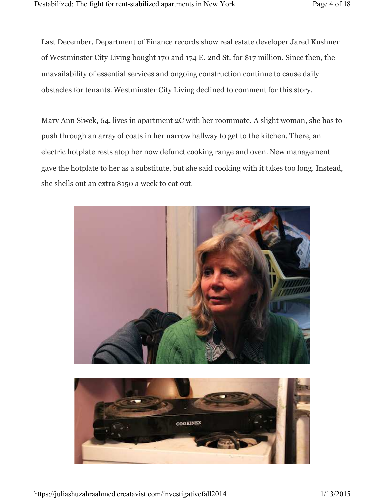Last December, Department of Finance records show real estate developer Jared Kushner of Westminster City Living bought 170 and 174 E. 2nd St. for \$17 million. Since then, the unavailability of essential services and ongoing construction continue to cause daily obstacles for tenants. Westminster City Living declined to comment for this story.

Mary Ann Siwek, 64, lives in apartment 2C with her roommate. A slight woman, she has to push through an array of coats in her narrow hallway to get to the kitchen. There, an electric hotplate rests atop her now defunct cooking range and oven. New management gave the hotplate to her as a substitute, but she said cooking with it takes too long. Instead, she shells out an extra \$150 a week to eat out.



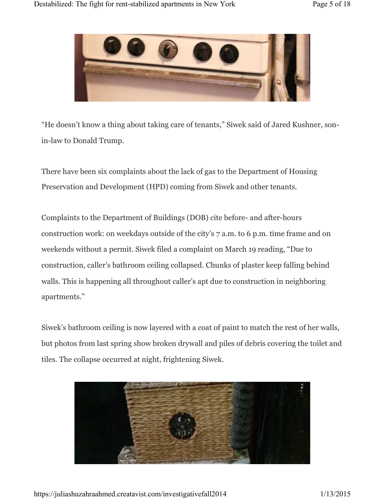

"He doesn't know a thing about taking care of tenants," Siwek said of Jared Kushner, sonin-law to Donald Trump.

There have been six complaints about the lack of gas to the Department of Housing Preservation and Development (HPD) coming from Siwek and other tenants.

Complaints to the Department of Buildings (DOB) cite before- and after-hours construction work: on weekdays outside of the city's 7 a.m. to 6 p.m. time frame and on weekends without a permit. Siwek filed a complaint on March 19 reading, "Due to construction, caller's bathroom ceiling collapsed. Chunks of plaster keep falling behind walls. This is happening all throughout caller's apt due to construction in neighboring apartments."

Siwek's bathroom ceiling is now layered with a coat of paint to match the rest of her walls, but photos from last spring show broken drywall and piles of debris covering the toilet and tiles. The collapse occurred at night, frightening Siwek.

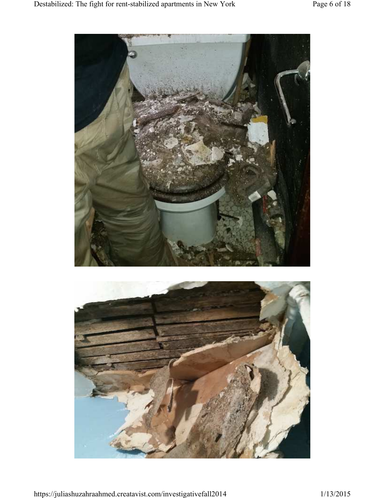

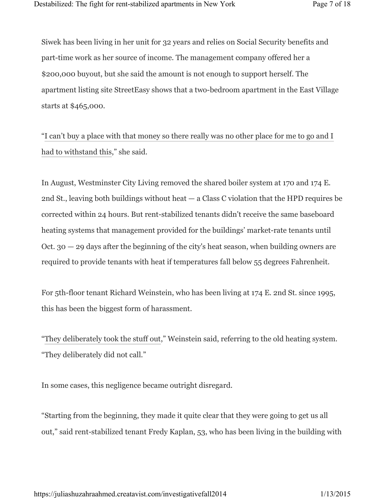Siwek has been living in her unit for 32 years and relies on Social Security benefits and part-time work as her source of income. The management company offered her a \$200,000 buyout, but she said the amount is not enough to support herself. The apartment listing site StreetEasy shows that a two-bedroom apartment in the East Village starts at \$465,000.

" I can't buy a place with that money so there really was no other place for me to go and I had to withstand this," she said.

In August, Westminster City Living removed the shared boiler system at 170 and 174 E. 2nd St., leaving both buildings without heat — a Class C violation that the HPD requires be corrected within 24 hours. But rent-stabilized tenants didn't receive the same baseboard heating systems that management provided for the buildings' market-rate tenants until Oct. 30  $-$  29 days after the beginning of the city's heat season, when building owners are required to provide tenants with heat if temperatures fall below 55 degrees Fahrenheit.

For 5th-floor tenant Richard Weinstein, who has been living at 174 E. 2nd St. since 1995, this has been the biggest form of harassment.

"They deliberately took the stuff out," Weinstein said, referring to the old heating system. "They deliberately did not call."

In some cases, this negligence became outright disregard.

"Starting from the beginning, they made it quite clear that they were going to get us all out," said rent-stabilized tenant Fredy Kaplan, 53, who has been living in the building with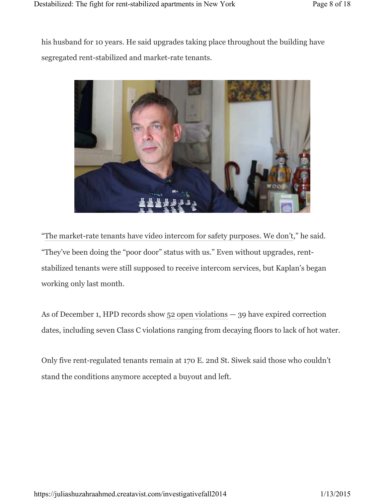his husband for 10 years. He said upgrades taking place throughout the building have segregated rent-stabilized and market-rate tenants.



"The market-rate tenants have video intercom for safety purposes. We don't," he said. "They've been doing the "poor door" status with us." Even without upgrades, rentstabilized tenants were still supposed to receive intercom services, but Kaplan's began working only last month.

As of December 1, HPD records show 52 open violations — 39 have expired correction dates, including seven Class C violations ranging from decaying floors to lack of hot water.

Only five rent-regulated tenants remain at 170 E. 2nd St. Siwek said those who couldn't stand the conditions anymore accepted a buyout and left.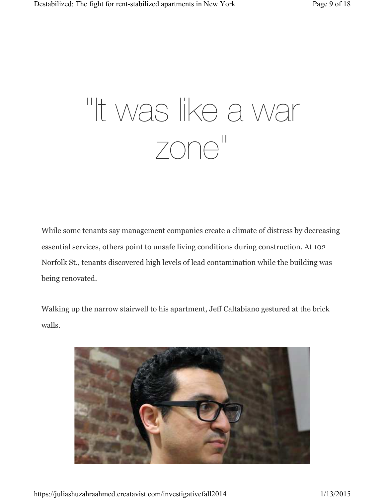#### "It was like a war zone"

While some tenants say management companies create a climate of distress by decreasing essential services, others point to unsafe living conditions during construction. At 102 Norfolk St., tenants discovered high levels of lead contamination while the building was being renovated.

Walking up the narrow stairwell to his apartment, Jeff Caltabiano gestured at the brick walls.

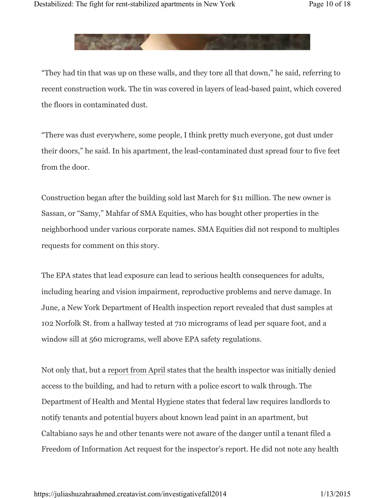"They had tin that was up on these walls, and they tore all that down," he said, referring to recent construction work. The tin was covered in layers of lead-based paint, which covered the floors in contaminated dust.

"There was dust everywhere, some people, I think pretty much everyone, got dust under their doors," he said. In his apartment, the lead-contaminated dust spread four to five feet from the door.

Construction began after the building sold last March for \$11 million. The new owner is Sassan, or "Samy," Mahfar of SMA Equities, who has bought other properties in the neighborhood under various corporate names. SMA Equities did not respond to multiples requests for comment on this story.

The EPA states that lead exposure can lead to serious health consequences for adults, including hearing and vision impairment, reproductive problems and nerve damage. In June, a New York Department of Health inspection report revealed that dust samples at 102 Norfolk St. from a hallway tested at 710 micrograms of lead per square foot, and a window sill at 560 micrograms, well above EPA safety regulations.

Not only that, but a report from April states that the health inspector was initially denied access to the building, and had to return with a police escort to walk through. The Department of Health and Mental Hygiene states that federal law requires landlords to notify tenants and potential buyers about known lead paint in an apartment, but Caltabiano says he and other tenants were not aware of the danger until a tenant filed a Freedom of Information Act request for the inspector's report. He did not note any health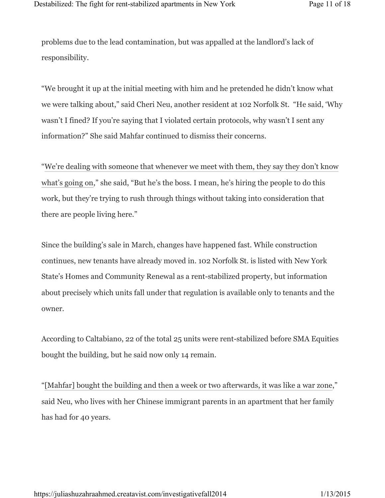problems due to the lead contamination, but was appalled at the landlord's lack of responsibility.

"We brought it up at the initial meeting with him and he pretended he didn't know what we were talking about," said Cheri Neu, another resident at 102 Norfolk St. "He said, 'Why wasn't I fined? If you're saying that I violated certain protocols, why wasn't I sent any information?" She said Mahfar continued to dismiss their concerns.

" We're dealing with someone that whenever we meet with them, they say they don't know what's going on," she said, "But he's the boss. I mean, he's hiring the people to do this work, but they're trying to rush through things without taking into consideration that there are people living here."

Since the building's sale in March, changes have happened fast. While construction continues, new tenants have already moved in. 102 Norfolk St. is listed with New York State's Homes and Community Renewal as a rent-stabilized property, but information about precisely which units fall under that regulation is available only to tenants and the owner.

According to Caltabiano, 22 of the total 25 units were rent-stabilized before SMA Equities bought the building, but he said now only 14 remain.

"[Mahfar] bought the building and then a week or two afterwards, it was like a war zone," said Neu, who lives with her Chinese immigrant parents in an apartment that her family has had for 40 years.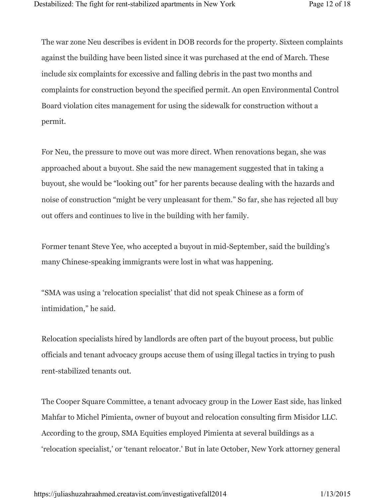The war zone Neu describes is evident in DOB records for the property. Sixteen complaints against the building have been listed since it was purchased at the end of March. These include six complaints for excessive and falling debris in the past two months and complaints for construction beyond the specified permit. An open Environmental Control Board violation cites management for using the sidewalk for construction without a permit.

For Neu, the pressure to move out was more direct. When renovations began, she was approached about a buyout. She said the new management suggested that in taking a buyout, she would be "looking out" for her parents because dealing with the hazards and noise of construction "might be very unpleasant for them." So far, she has rejected all buy out offers and continues to live in the building with her family.

Former tenant Steve Yee, who accepted a buyout in mid-September, said the building's many Chinese-speaking immigrants were lost in what was happening.

"SMA was using a 'relocation specialist' that did not speak Chinese as a form of intimidation," he said.

Relocation specialists hired by landlords are often part of the buyout process, but public officials and tenant advocacy groups accuse them of using illegal tactics in trying to push rent-stabilized tenants out.

The Cooper Square Committee, a tenant advocacy group in the Lower East side, has linked Mahfar to Michel Pimienta, owner of buyout and relocation consulting firm Misidor LLC. According to the group, SMA Equities employed Pimienta at several buildings as a 'relocation specialist,' or 'tenant relocator.' But in late October, New York attorney general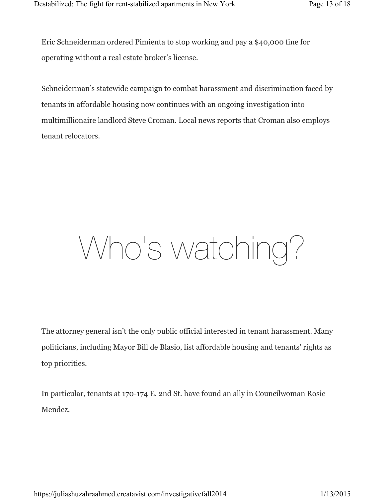Eric Schneiderman ordered Pimienta to stop working and pay a \$40,000 fine for operating without a real estate broker's license.

Schneiderman's statewide campaign to combat harassment and discrimination faced by tenants in affordable housing now continues with an ongoing investigation into multimillionaire landlord Steve Croman. Local news reports that Croman also employs tenant relocators.

## Who's watching?

The attorney general isn't the only public official interested in tenant harassment. Many politicians, including Mayor Bill de Blasio, list affordable housing and tenants' rights as top priorities.

In particular, tenants at 170-174 E. 2nd St. have found an ally in Councilwoman Rosie Mendez.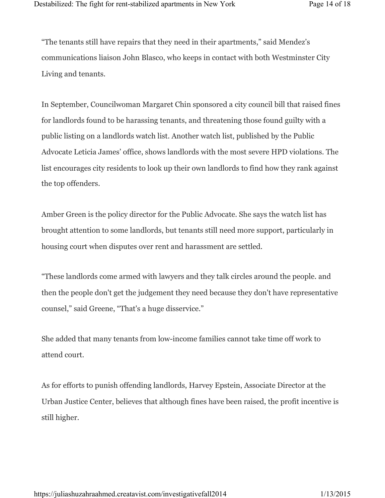"The tenants still have repairs that they need in their apartments," said Mendez's communications liaison John Blasco, who keeps in contact with both Westminster City Living and tenants.

In September, Councilwoman Margaret Chin sponsored a city council bill that raised fines for landlords found to be harassing tenants, and threatening those found guilty with a public listing on a landlords watch list. Another watch list, published by the Public Advocate Leticia James' office, shows landlords with the most severe HPD violations. The list encourages city residents to look up their own landlords to find how they rank against the top offenders.

Amber Green is the policy director for the Public Advocate. She says the watch list has brought attention to some landlords, but tenants still need more support, particularly in housing court when disputes over rent and harassment are settled.

"These landlords come armed with lawyers and they talk circles around the people. and then the people don't get the judgement they need because they don't have representative counsel," said Greene, "That's a huge disservice."

She added that many tenants from low-income families cannot take time off work to attend court.

As for efforts to punish offending landlords, Harvey Epstein, Associate Director at the Urban Justice Center, believes that although fines have been raised, the profit incentive is still higher.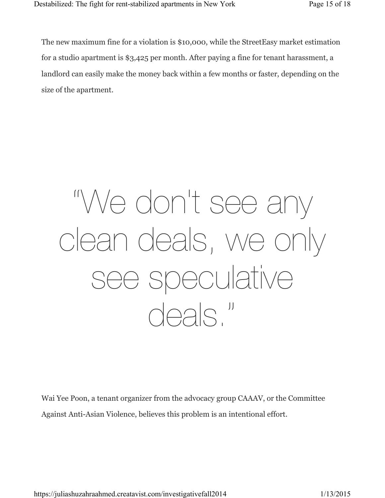The new maximum fine for a violation is \$10,000, while the StreetEasy market estimation for a studio apartment is \$3,425 per month. After paying a fine for tenant harassment, a landlord can easily make the money back within a few months or faster, depending on the size of the apartment.

# "We don't see any clean deals, we only see speculative deals."

Wai Yee Poon, a tenant organizer from the advocacy group CAAAV, or the Committee Against Anti-Asian Violence, believes this problem is an intentional effort.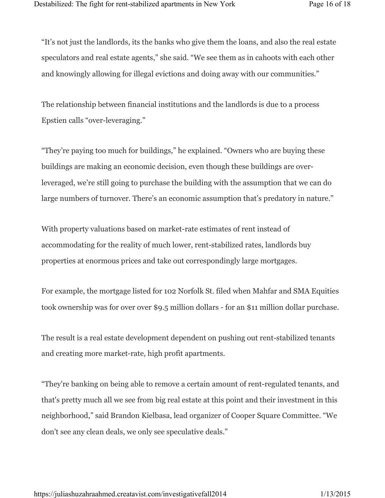"It's not just the landlords, its the banks who give them the loans, and also the real estate speculators and real estate agents," she said. "We see them as in cahoots with each other and knowingly allowing for illegal evictions and doing away with our communities."

The relationship between financial institutions and the landlords is due to a process Epstien calls "over-leveraging."

"They're paying too much for buildings," he explained. "Owners who are buying these buildings are making an economic decision, even though these buildings are overleveraged, we're still going to purchase the building with the assumption that we can do large numbers of turnover. There's an economic assumption that's predatory in nature."

With property valuations based on market-rate estimates of rent instead of accommodating for the reality of much lower, rent-stabilized rates, landlords buy properties at enormous prices and take out correspondingly large mortgages.

For example, the mortgage listed for 102 Norfolk St. filed when Mahfar and SMA Equities took ownership was for over over \$9.5 million dollars - for an \$11 million dollar purchase.

The result is a real estate development dependent on pushing out rent-stabilized tenants and creating more market-rate, high profit apartments.

"They're banking on being able to remove a certain amount of rent-regulated tenants, and that's pretty much all we see from big real estate at this point and their investment in this neighborhood," said Brandon Kielbasa, lead organizer of Cooper Square Committee. "We don't see any clean deals, we only see speculative deals."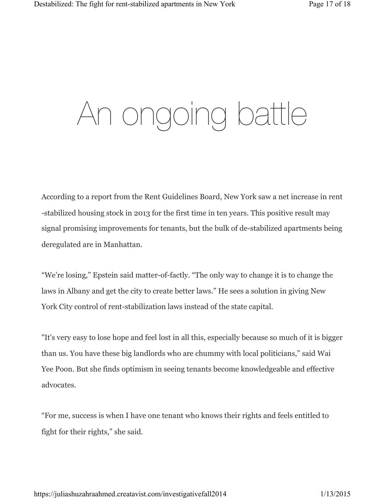#### An ongoing battle

According to a report from the Rent Guidelines Board, New York saw a net increase in rent -stabilized housing stock in 2013 for the first time in ten years. This positive result may signal promising improvements for tenants, but the bulk of de-stabilized apartments being deregulated are in Manhattan.

"We're losing," Epstein said matter-of-factly. "The only way to change it is to change the laws in Albany and get the city to create better laws." He sees a solution in giving New York City control of rent-stabilization laws instead of the state capital.

"It's very easy to lose hope and feel lost in all this, especially because so much of it is bigger than us. You have these big landlords who are chummy with local politicians," said Wai Yee Poon. But she finds optimism in seeing tenants become knowledgeable and effective advocates.

"For me, success is when I have one tenant who knows their rights and feels entitled to fight for their rights," she said.